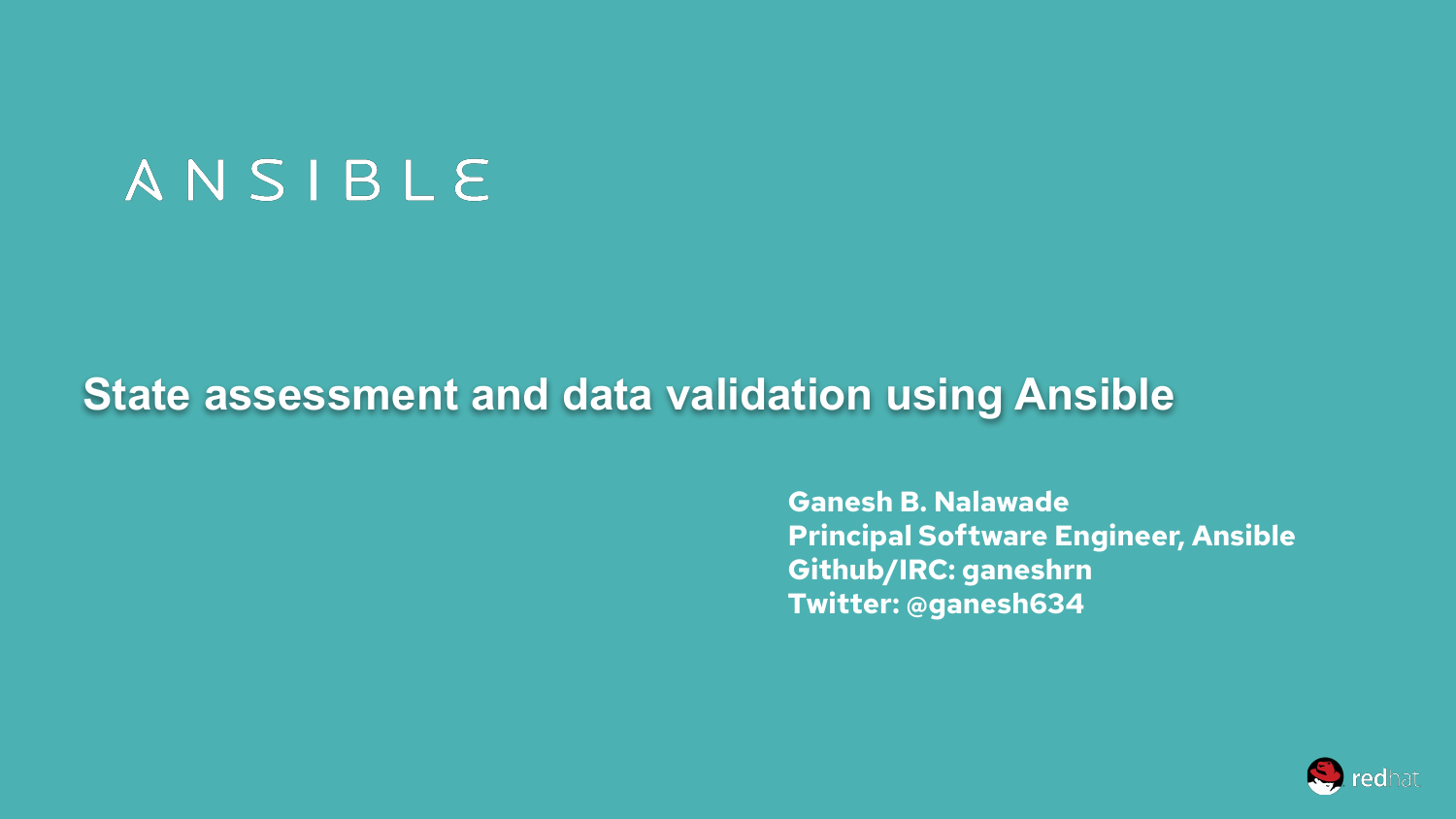# ANSIBLE

# **State assessment and data validation using Ansible**

**Ganesh B. Nalawade Principal Software Engineer, Ansible Github/IRC: ganeshrn Twitter: @ganesh634**

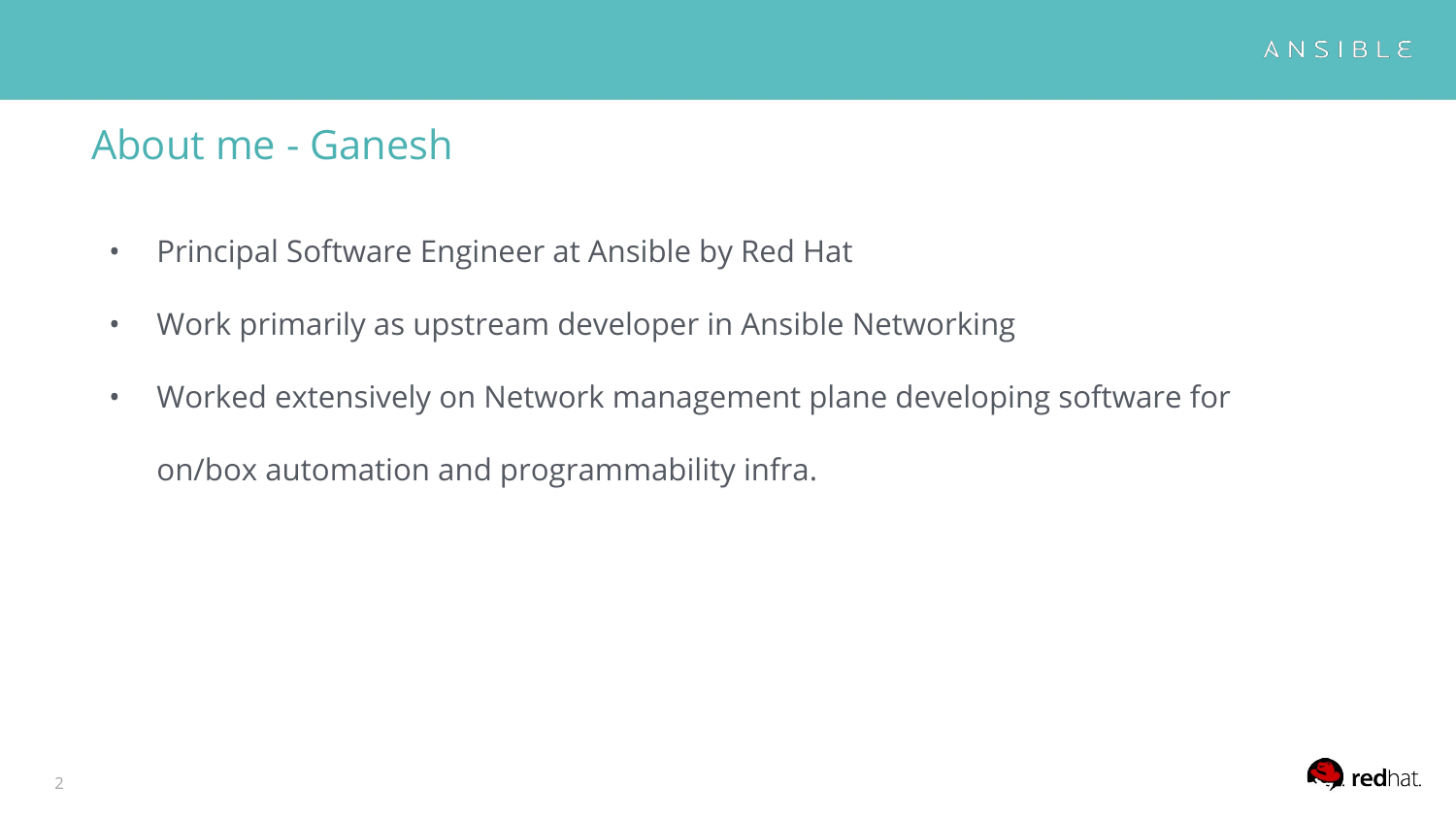#### About me - Ganesh

- Principal Software Engineer at Ansible by Red Hat
- Work primarily as upstream developer in Ansible Networking
- Worked extensively on Network management plane developing software for on/box automation and programmability infra.

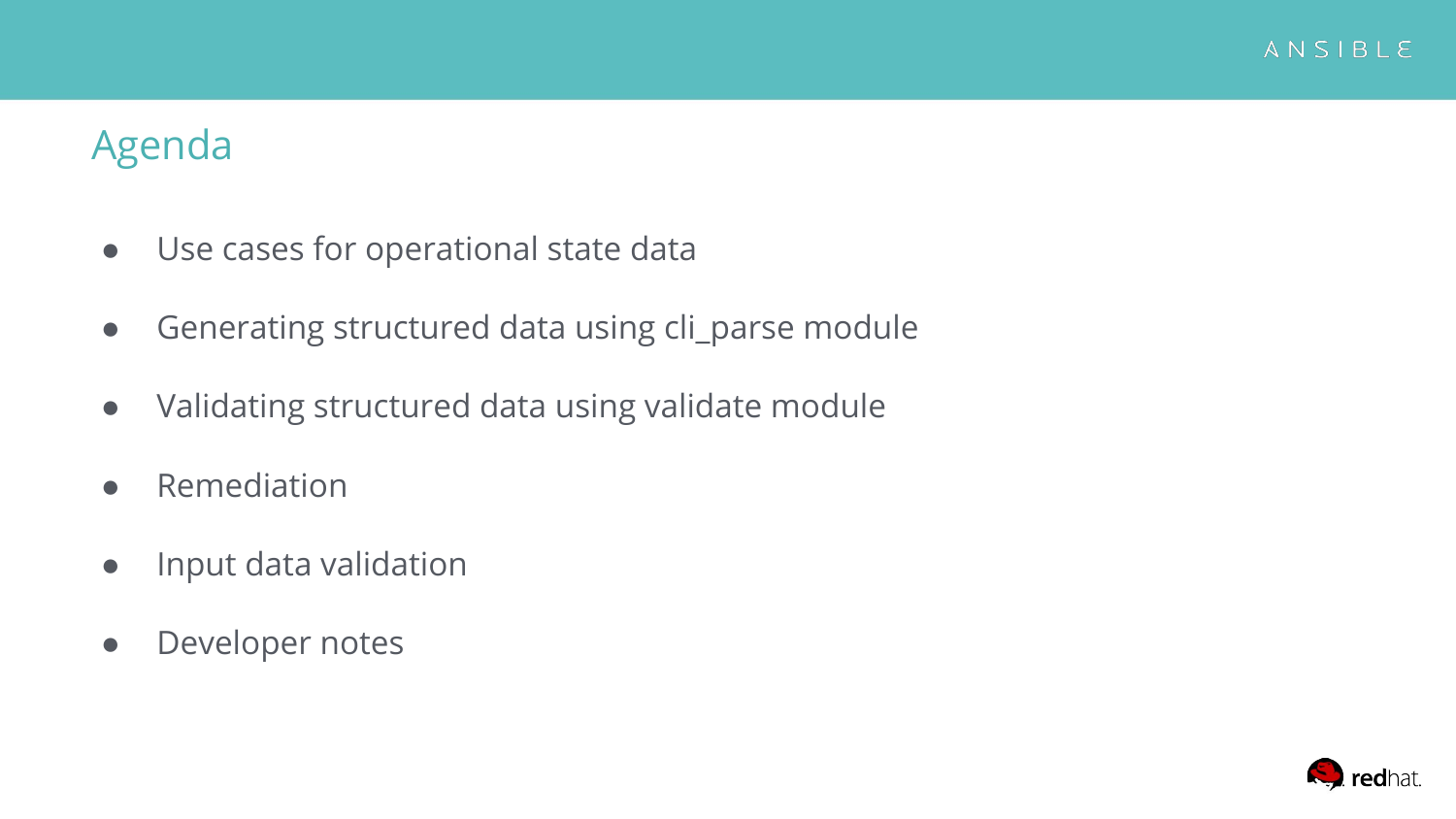

#### Agenda

- Use cases for operational state data
- Generating structured data using cli\_parse module
- Validating structured data using validate module
- Remediation
- Input data validation
- Developer notes

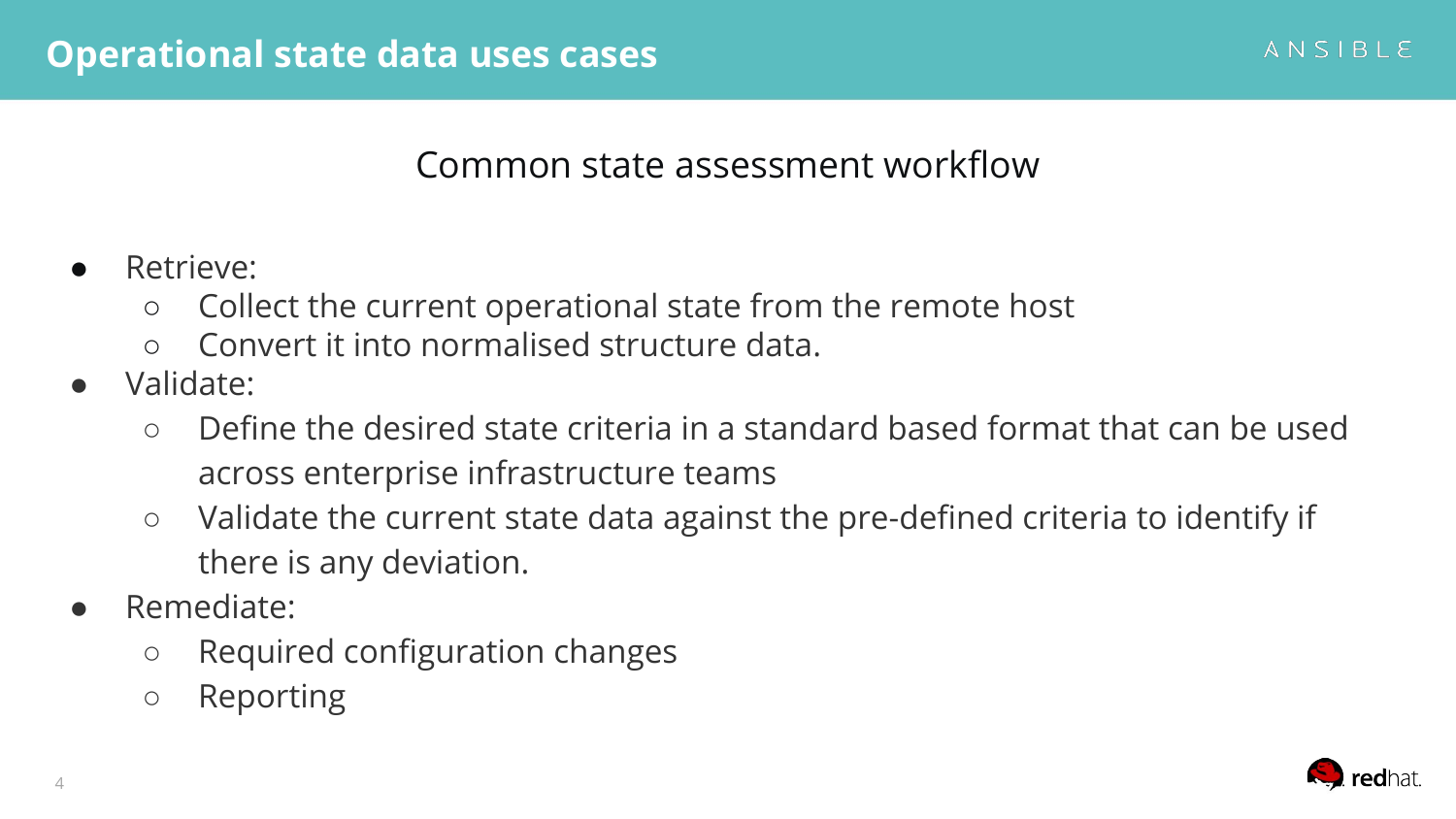#### Common state assessment workflow

- Retrieve:
	- Collect the current operational state from the remote host
	- Convert it into normalised structure data.
- Validate:
	- Define the desired state criteria in a standard based format that can be used across enterprise infrastructure teams
	- Validate the current state data against the pre-defined criteria to identify if there is any deviation.
- Remediate:
	- Required configuration changes
	- Reporting

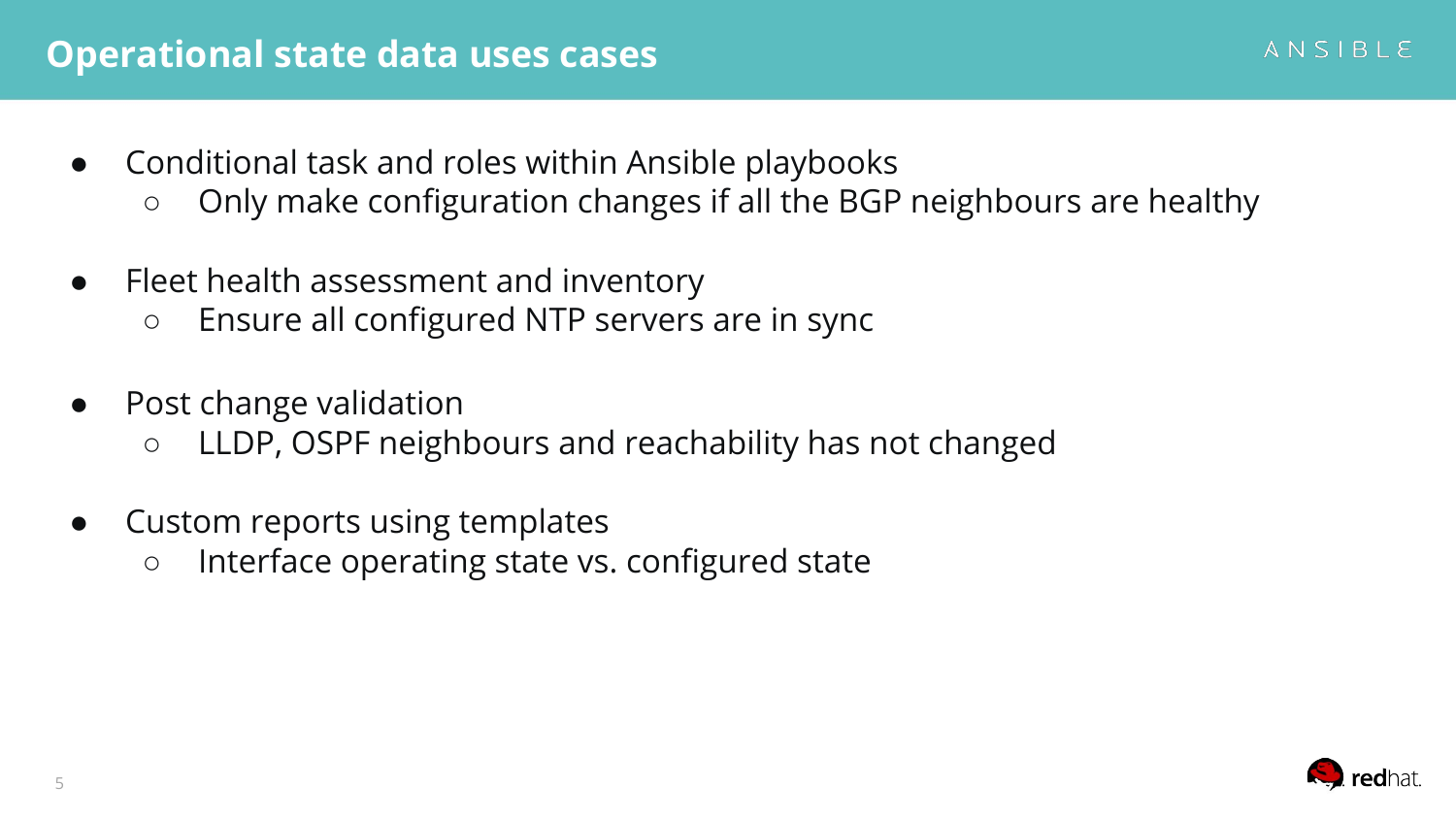#### **Operational state data uses cases**

- Conditional task and roles within Ansible playbooks
	- Only make configuration changes if all the BGP neighbours are healthy
- Fleet health assessment and inventory
	- Ensure all configured NTP servers are in sync
- Post change validation
	- LLDP, OSPF neighbours and reachability has not changed
- Custom reports using templates
	- Interface operating state vs. configured state



ANSIBLE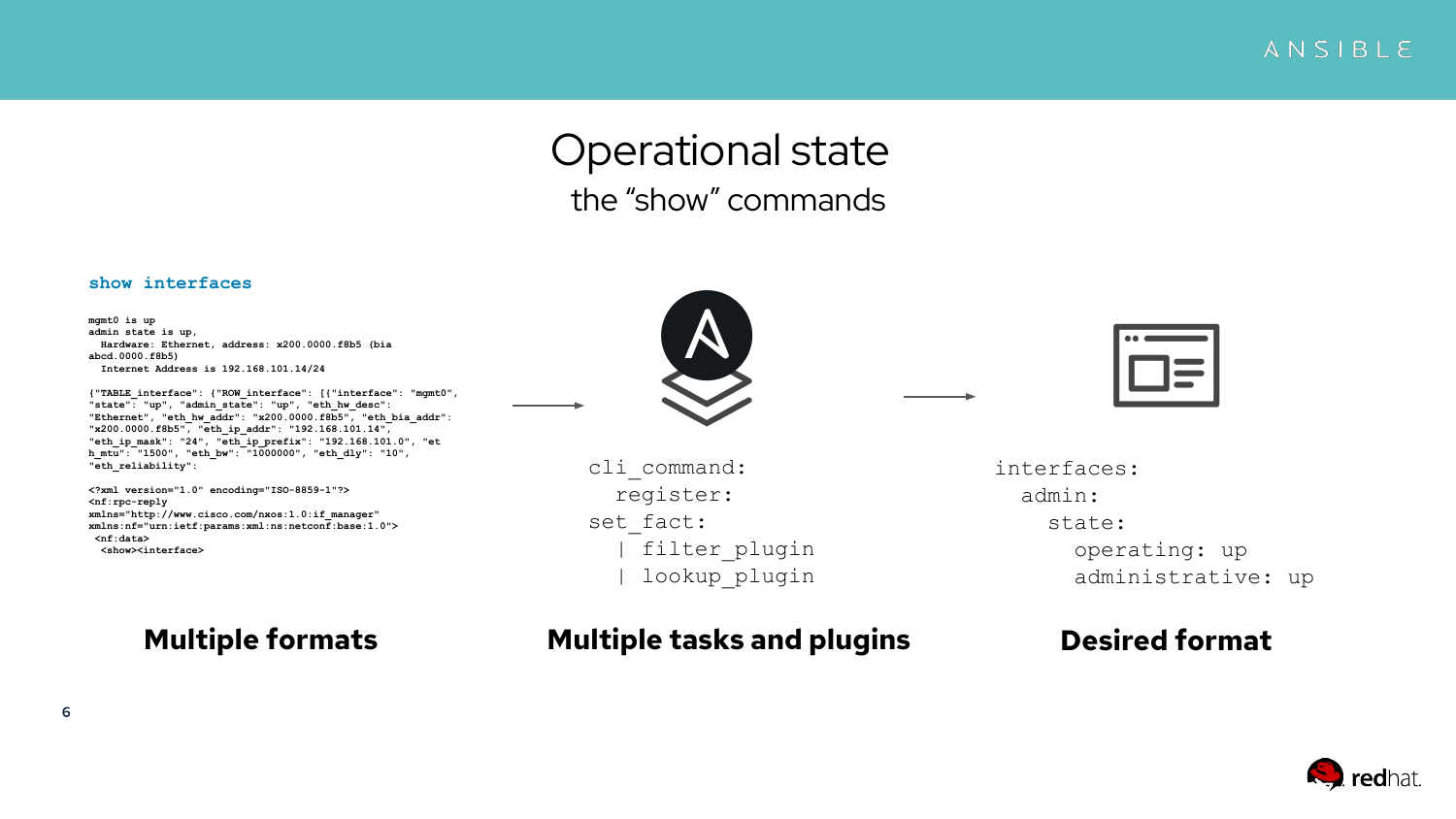ANSIBLE

#### Operational state the "show" commands

#### **show interfaces**

**mgmt0 is up admin state is up, Hardware: Ethernet, address: x200.0000.f8b5 (bia abcd.0000.f8b5) Internet Address is 192.168.101.14/24**

**{"TABLE\_interface": {"ROW\_interface": [{"interface": "mgmt0", "state": "up", "admin\_state": "up", "eth\_hw\_desc": "Ethernet", "eth\_hw\_addr": "x200.0000.f8b5", "eth\_bia\_addr": "x200.0000.f8b5", "eth\_ip\_addr": "192.168.101.14", "eth\_ip\_mask": "24", "eth\_ip\_prefix": "192.168.101.0", "et h\_mtu": "1500", "eth\_bw": "1000000", "eth\_dly": "10", "eth\_reliability":**

**<?xml version="1.0" encoding="ISO-8859-1"?> <nf:rpc-reply xmlns="http://www.cisco.com/nxos:1.0:if\_manager" xmlns:nf="urn:ietf:params:xml:ns:netconf:base:1.0"> <nf:data> <show><interface>**

#### **Multiple formats**



 cli\_command: register: set fact: | filter\_plugin | lookup\_plugin

#### **Multiple tasks and plugins Desired format**



interfaces: admin: state: operating: up administrative: up

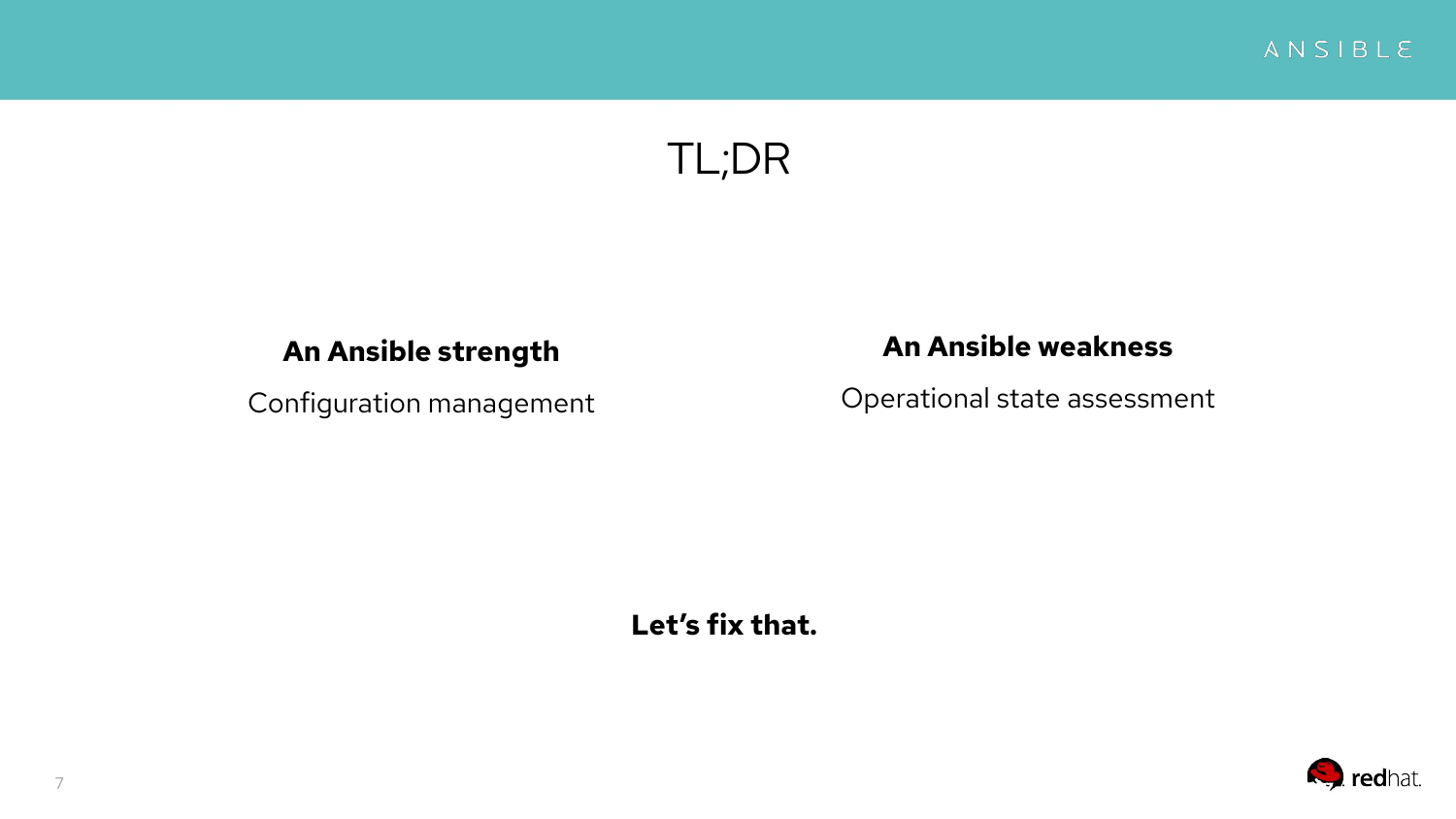ANSIBLE

# TL;DR

#### **An Ansible strength**

Configuration management

#### **An Ansible weakness**

Operational state assessment

**Let's fix that.**

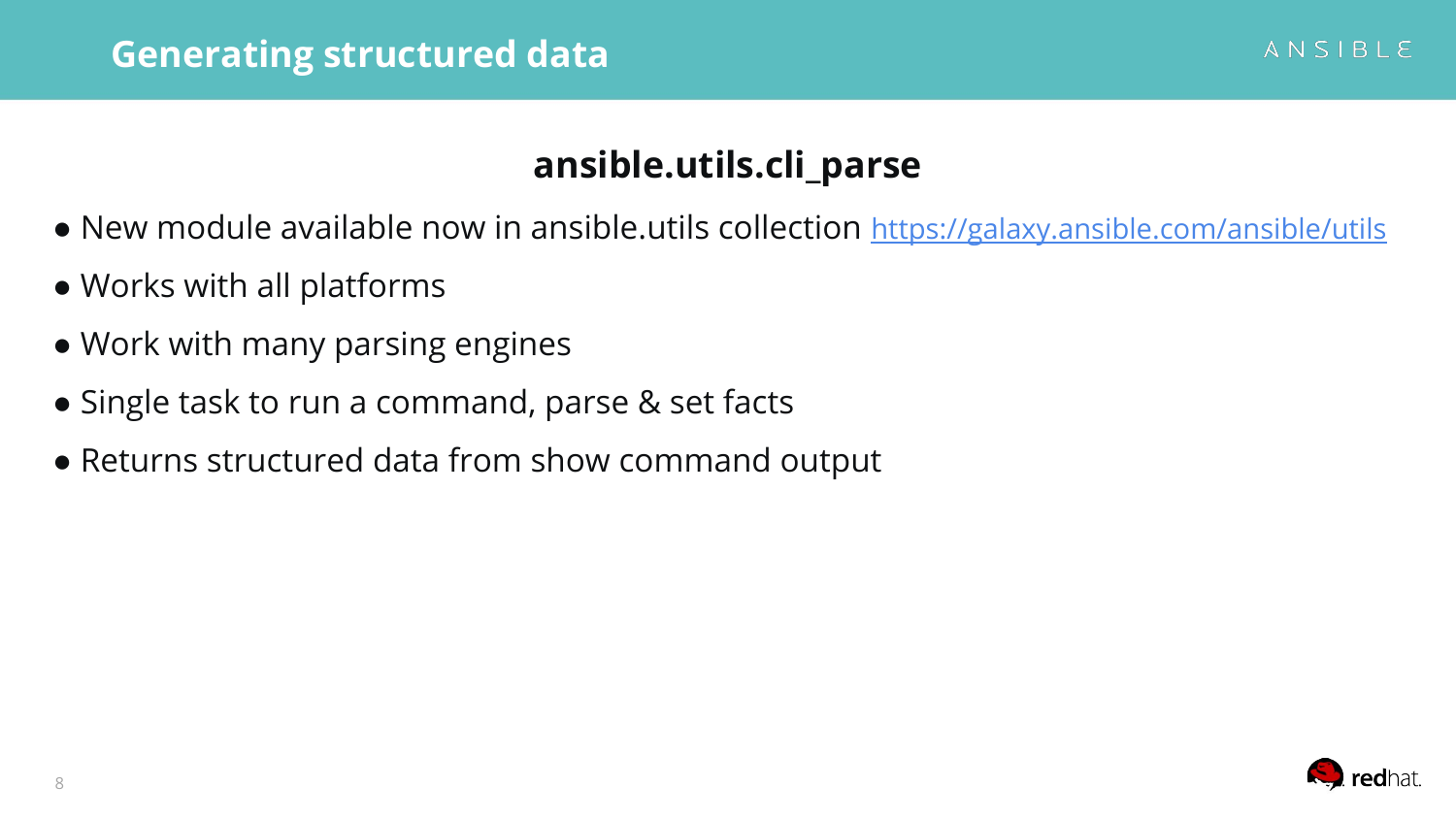#### **ansible.utils.cli\_parse**

- New module available now in ansible.utils collection <https://galaxy.ansible.com/ansible/utils>
- Works with all platforms
- Work with many parsing engines
- Single task to run a command, parse & set facts
- Returns structured data from show command output

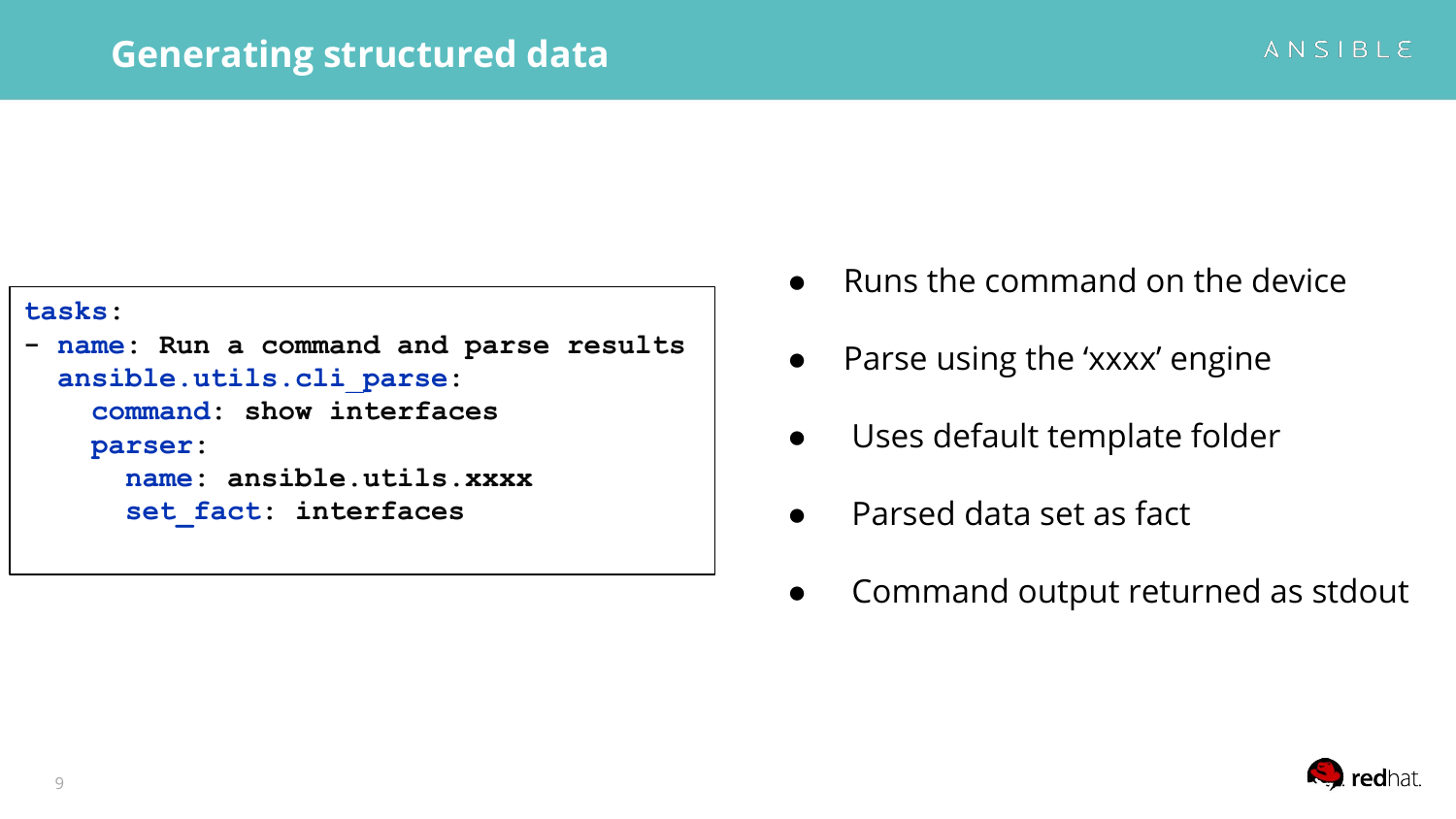```
tasks:
- name: Run a command and parse results
   ansible.utils.cli_parse:
     command: show interfaces
     parser:
       name: ansible.utils.xxxx
       set_fact: interfaces
```
- **Runs the command on the device**
- Parse using the 'xxxx' engine
- Uses default template folder
- Parsed data set as fact
- Command output returned as stdout



ANSIBLE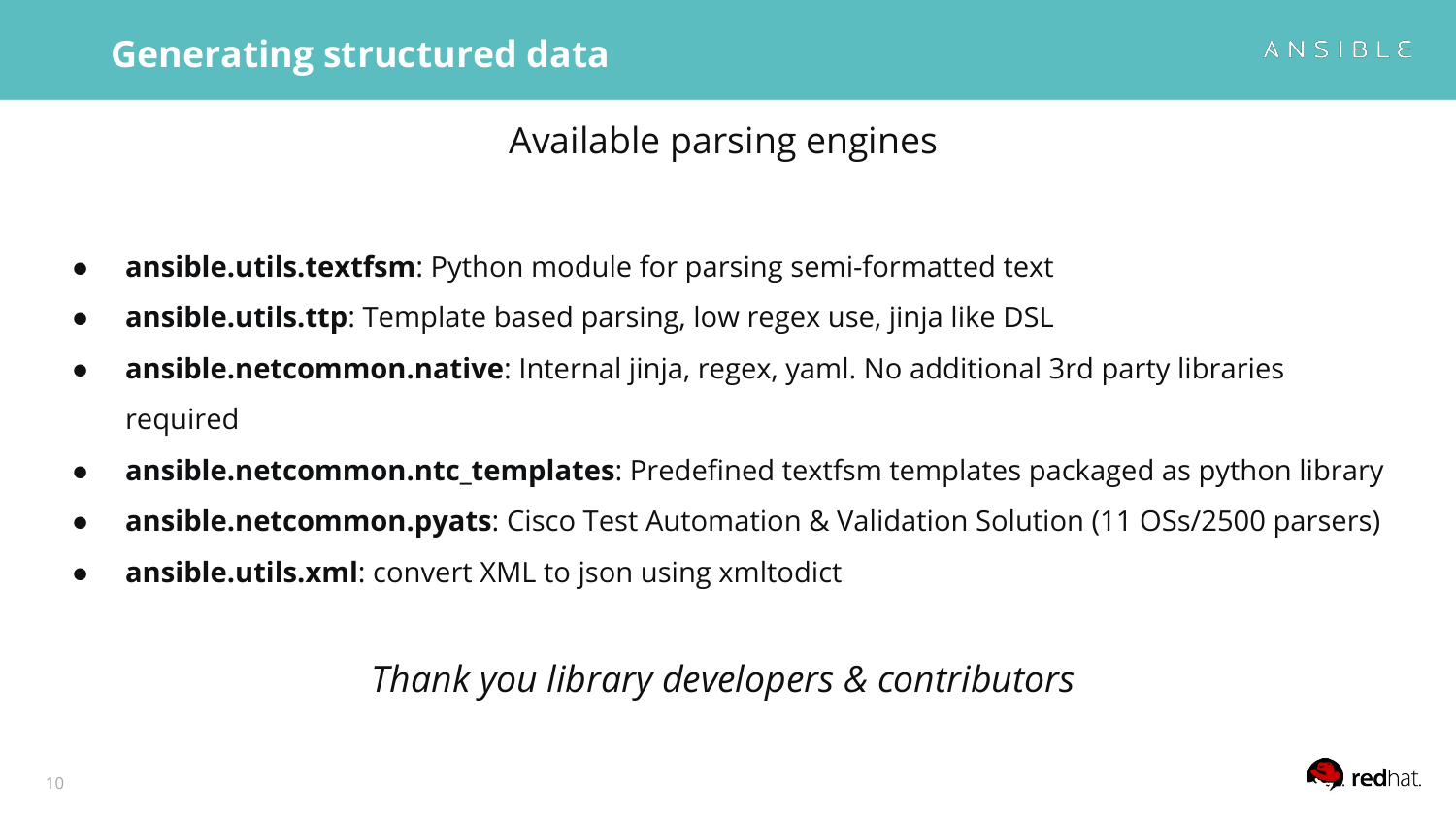#### Available parsing engines

- **ansible.utils.textfsm**: Python module for parsing semi-formatted text
- **ansible.utils.ttp**: Template based parsing, low regex use, jinja like DSL
- **ansible.netcommon.native**: Internal jinja, regex, yaml. No additional 3rd party libraries required
- **ansible.netcommon.ntc\_templates**: Predefined textfsm templates packaged as python library
- **ansible.netcommon.pyats**: Cisco Test Automation & Validation Solution (11 OSs/2500 parsers)
- **ansible.utils.xml**: convert XML to json using xmltodict

#### *Thank you library developers & contributors*

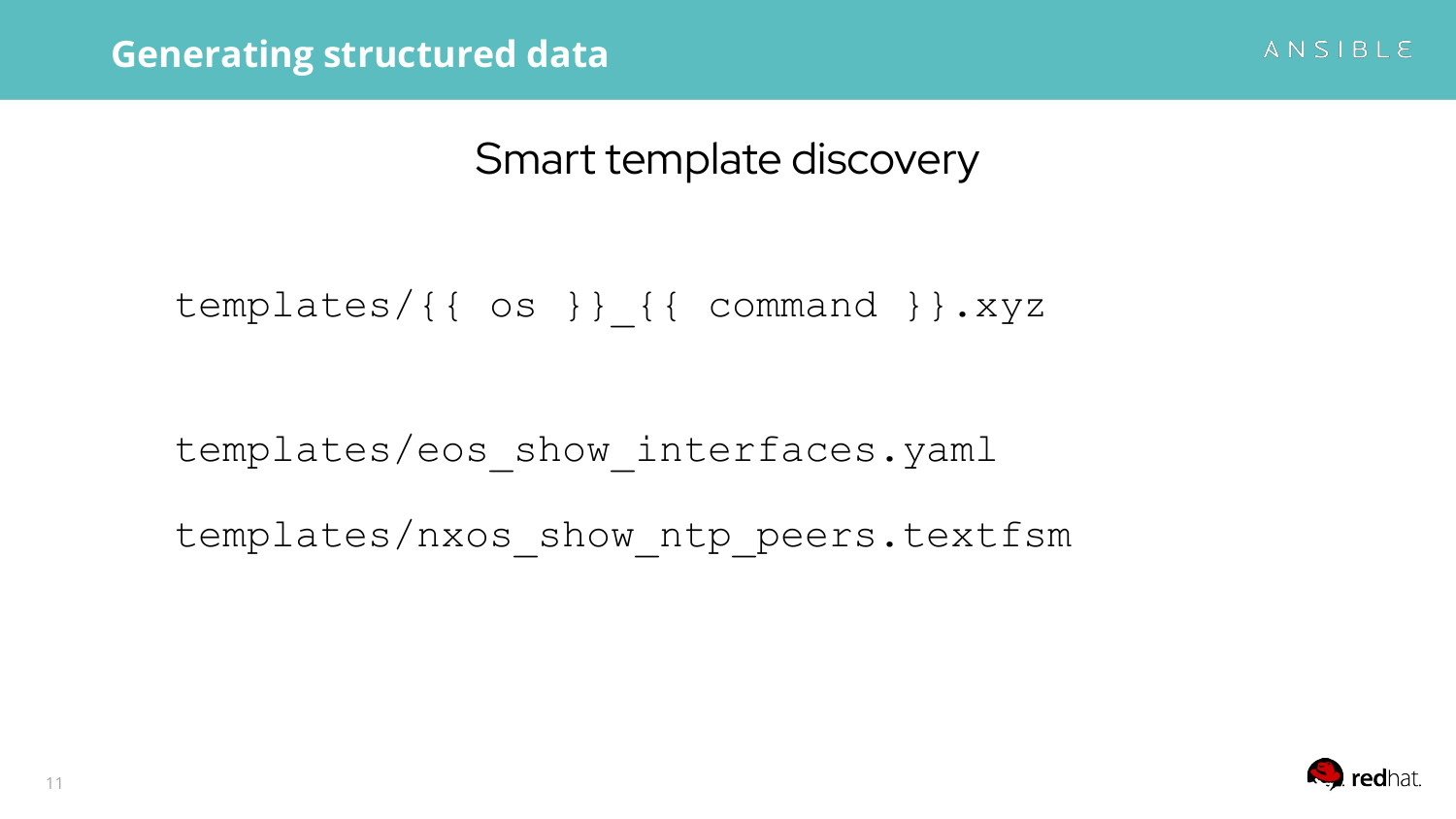Smart template discovery

templates/{{ os }} {{ command }}.xyz

templates/eos\_show\_interfaces.yaml

templates/nxos\_show\_ntp\_peers.textfsm



ANSIBLE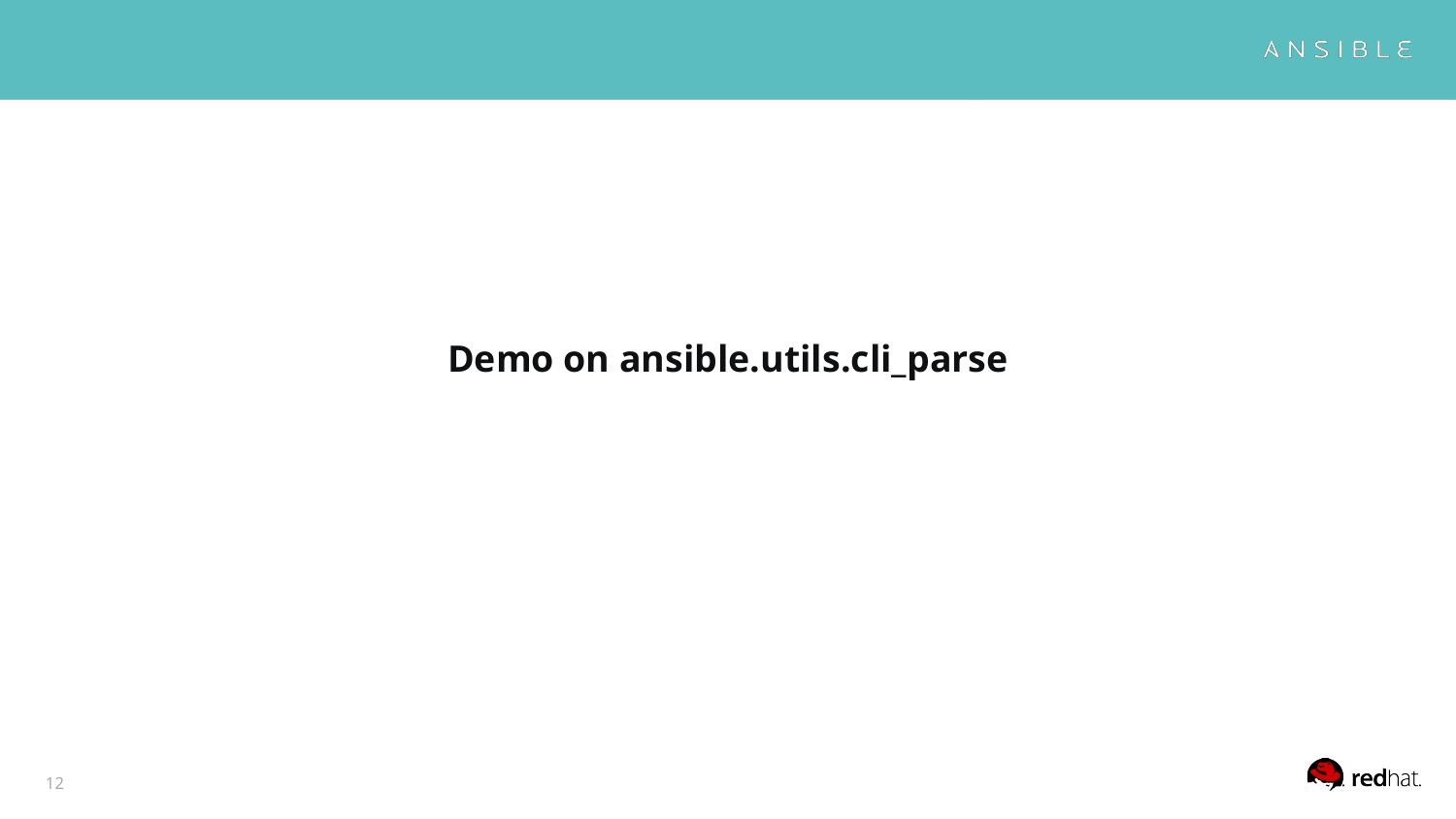

## **Demo on ansible.utils.cli\_parse**

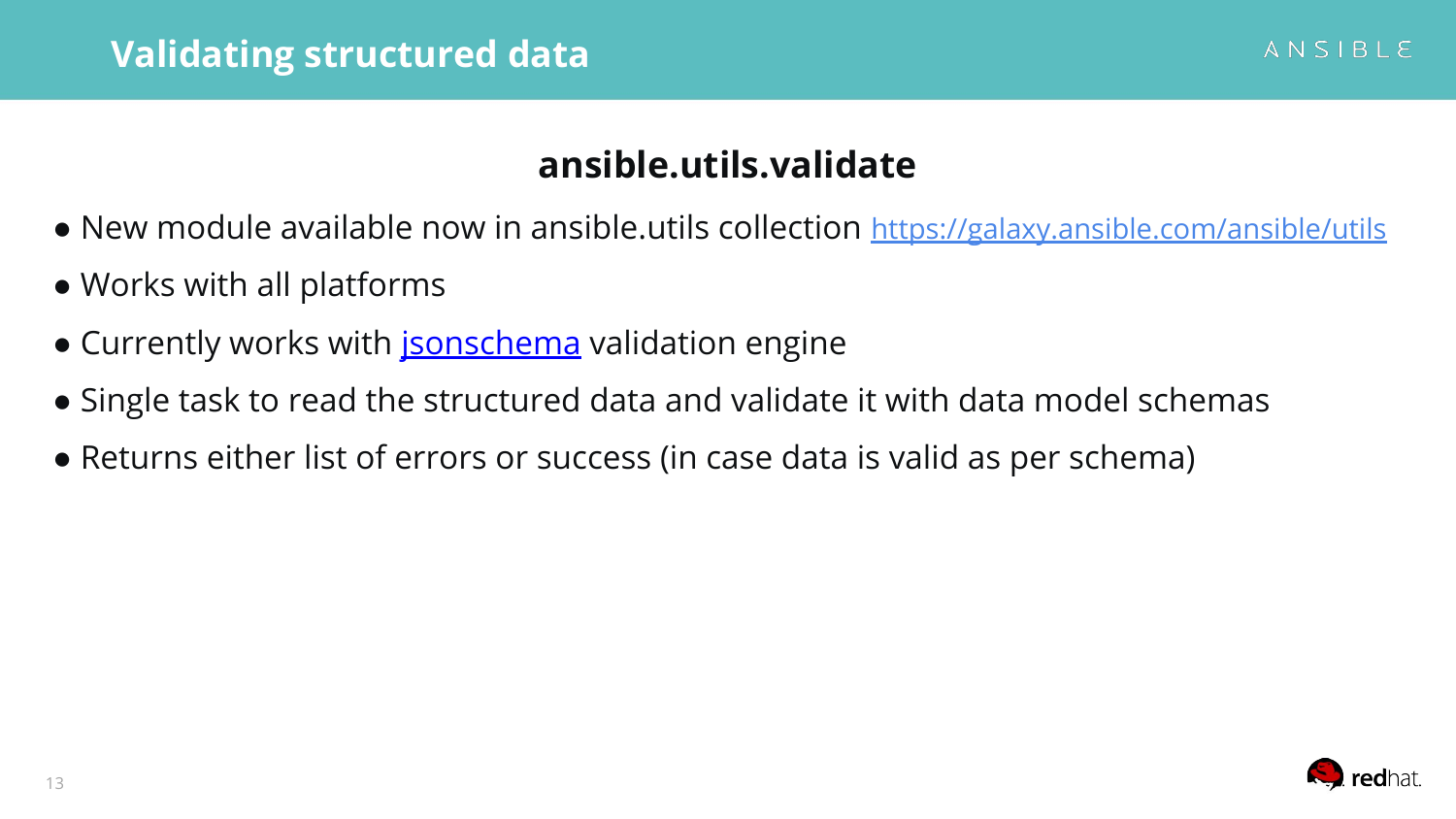#### **ansible.utils.validate**

- New module available now in ansible.utils collection <https://galaxy.ansible.com/ansible/utils>
- Works with all platforms
- Currently works with **jsonschema** validation engine
- Single task to read the structured data and validate it with data model schemas
- Returns either list of errors or success (in case data is valid as per schema)

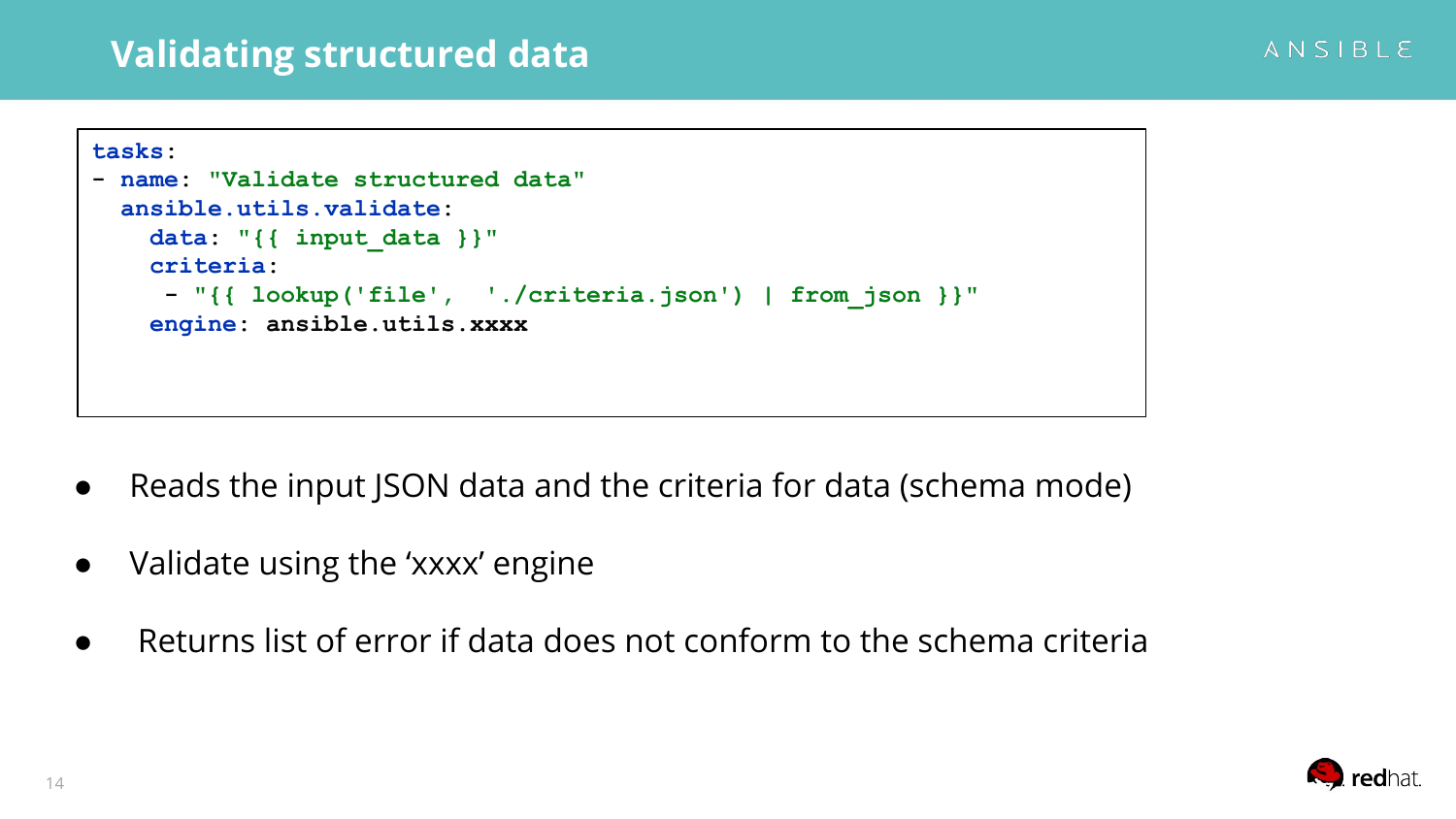#### **Validating structured data**

```
tasks:
- name: "Validate structured data"
   ansible.utils.validate:
     data: "{{ input_data }}"
     criteria:
      - "{{ lookup('file', './criteria.json') | from_json }}"
     engine: ansible.utils.xxxx
```
- Reads the input JSON data and the criteria for data (schema mode)
- Validate using the 'xxxx' engine
- Returns list of error if data does not conform to the schema criteria

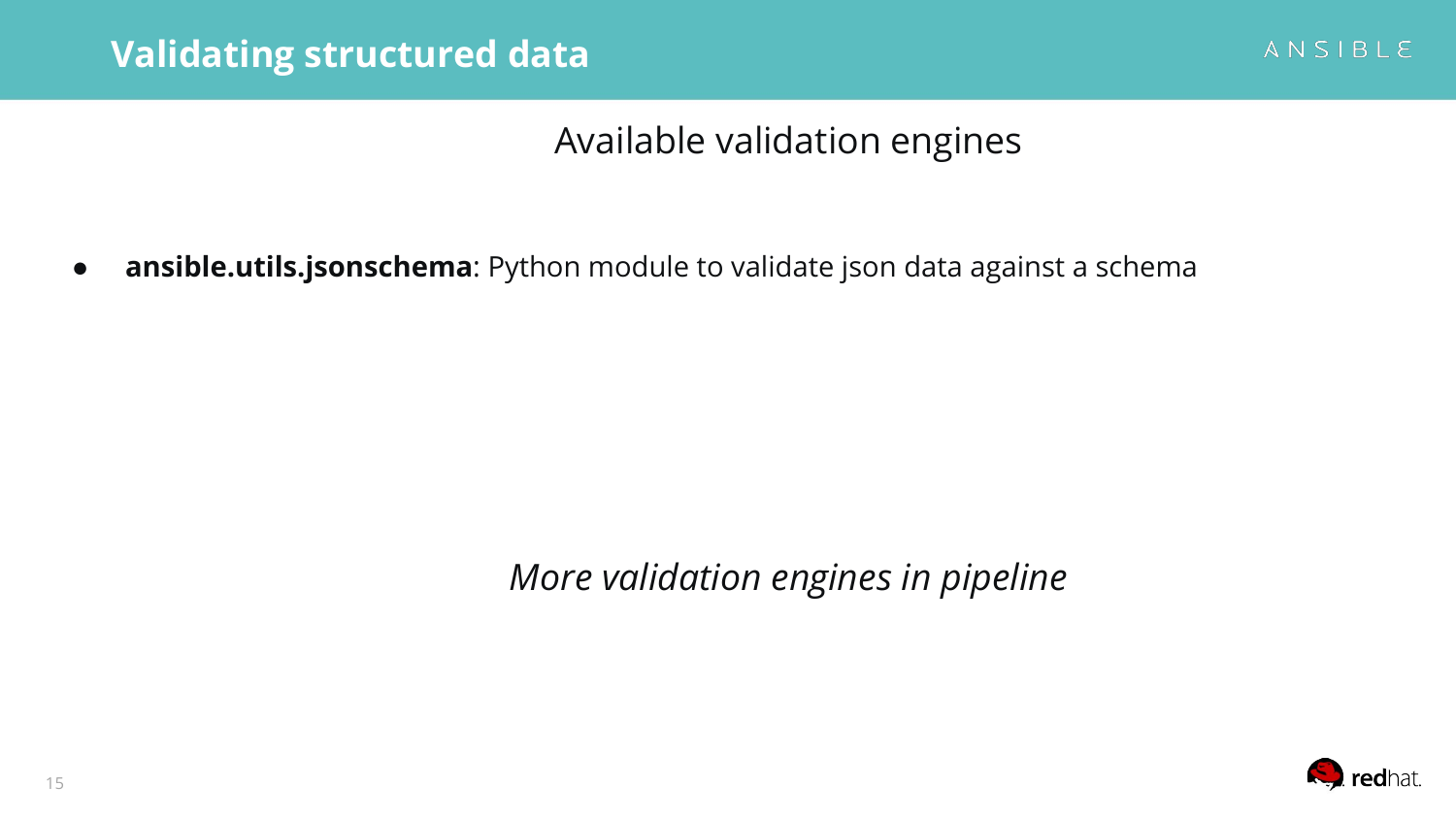Available validation engines

● **ansible.utils.jsonschema**: Python module to validate json data against a schema

*More validation engines in pipeline*

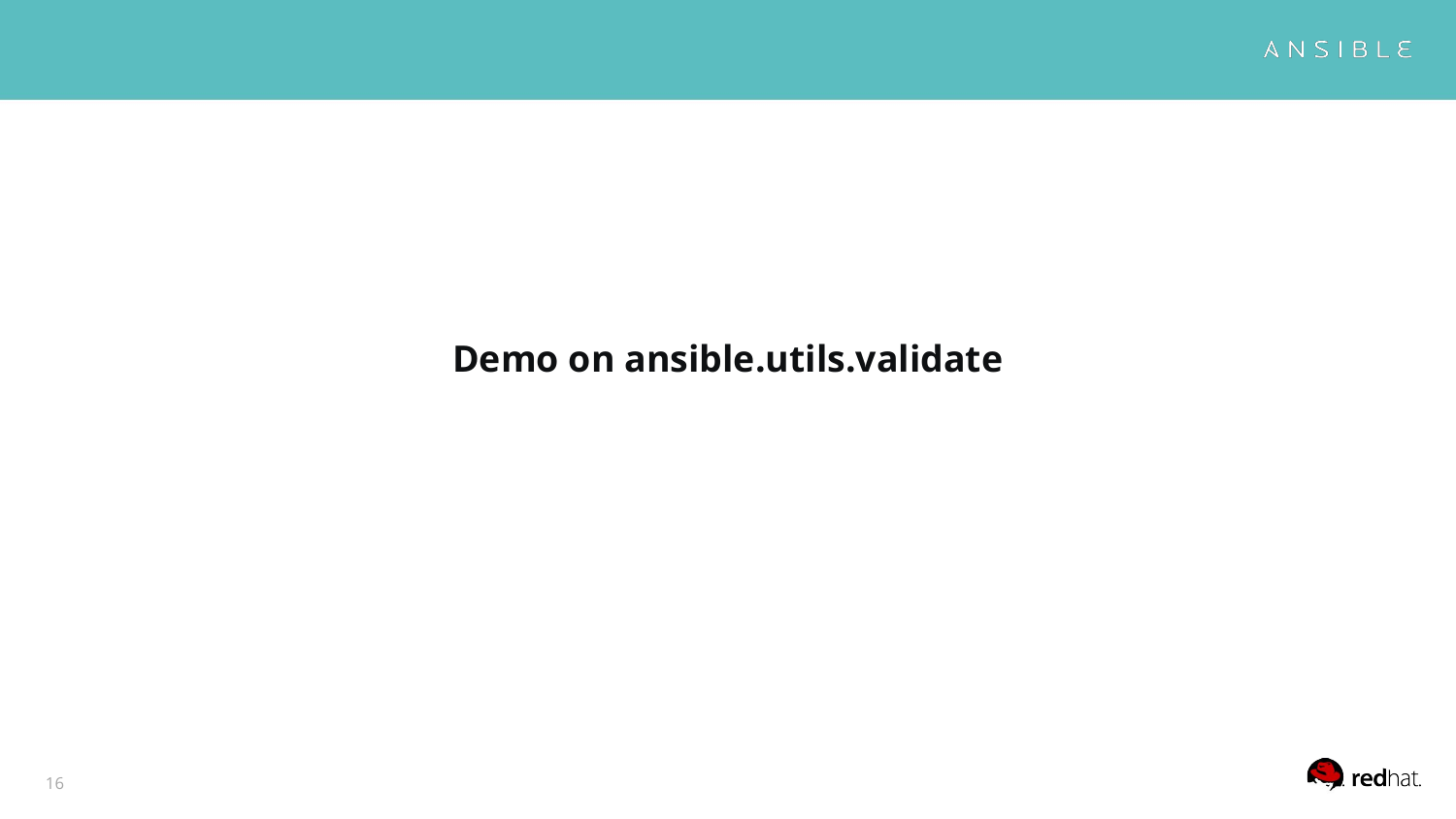

#### **Demo on ansible.utils.validate**

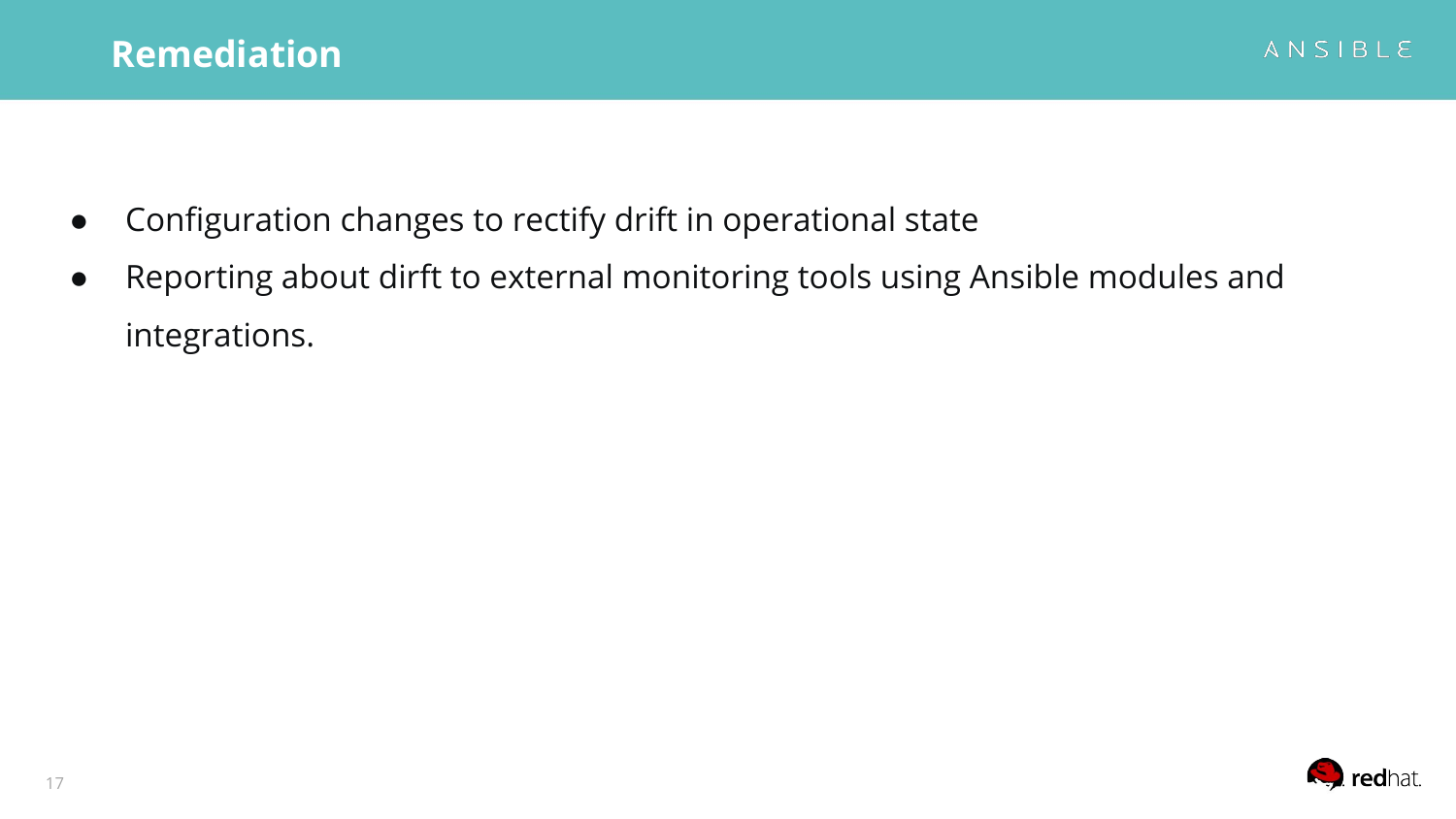- Configuration changes to rectify drift in operational state
- Reporting about dirft to external monitoring tools using Ansible modules and integrations.

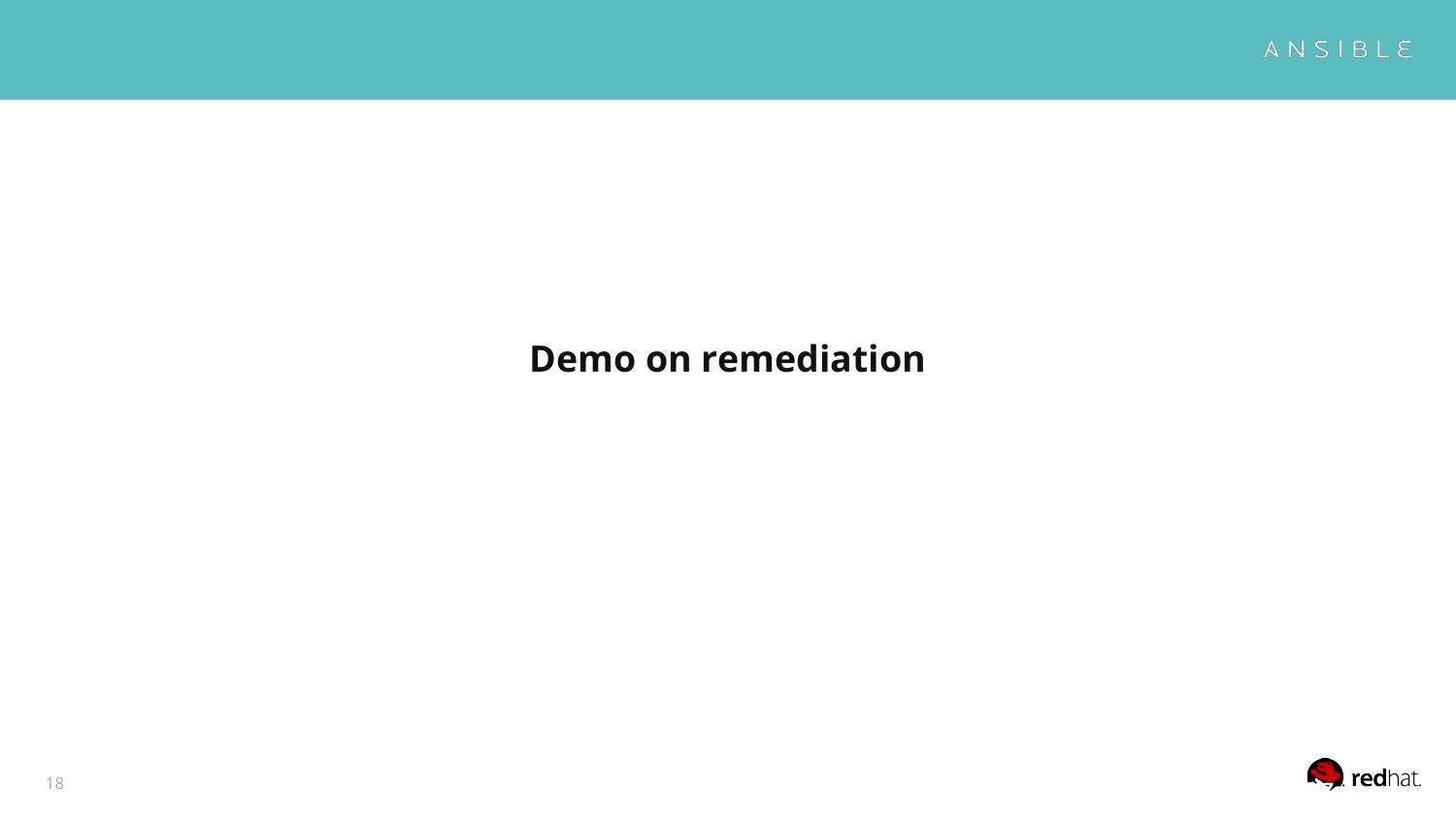

#### **Demo on remediation**

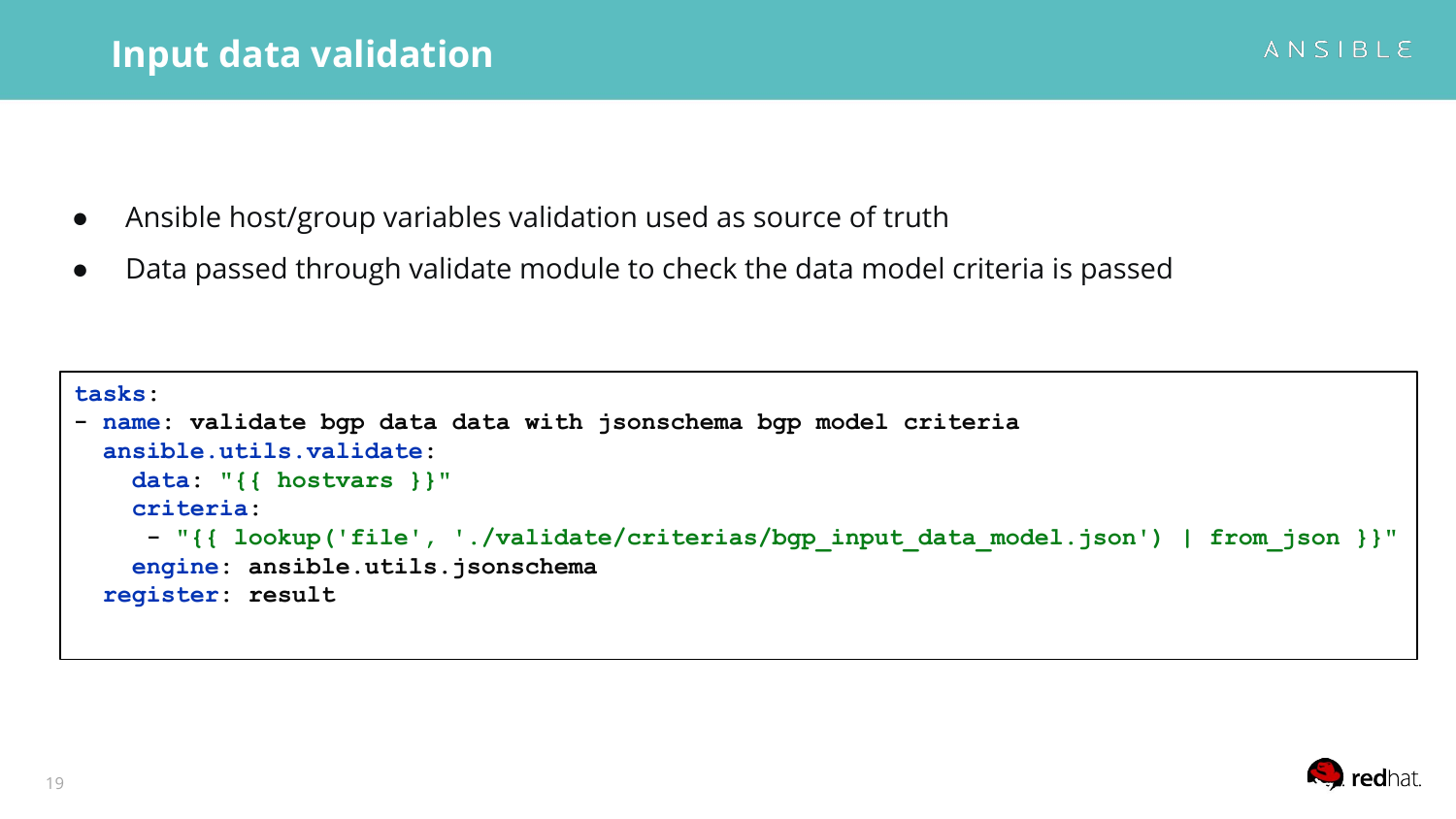- Ansible host/group variables validation used as source of truth
- Data passed through validate module to check the data model criteria is passed

```
tasks:
- name: validate bgp data data with jsonschema bgp model criteria
   ansible.utils.validate:
     data: "{{ hostvars }}"
     criteria:
      - "{{ lookup('file', './validate/criterias/bgp_input_data_model.json') | from_json }}"
     engine: ansible.utils.jsonschema
   register: result
```
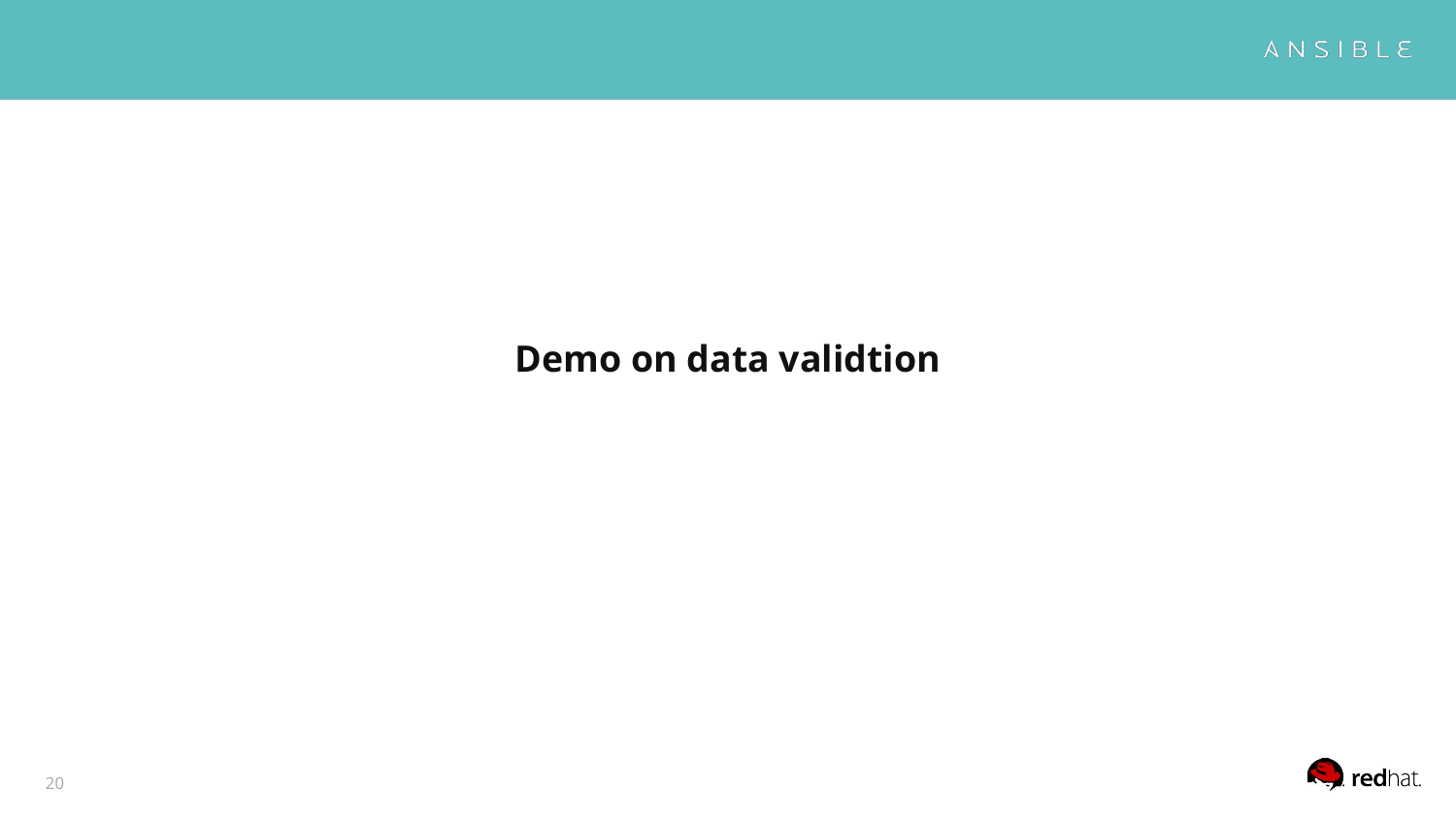

#### **Demo on data validtion**

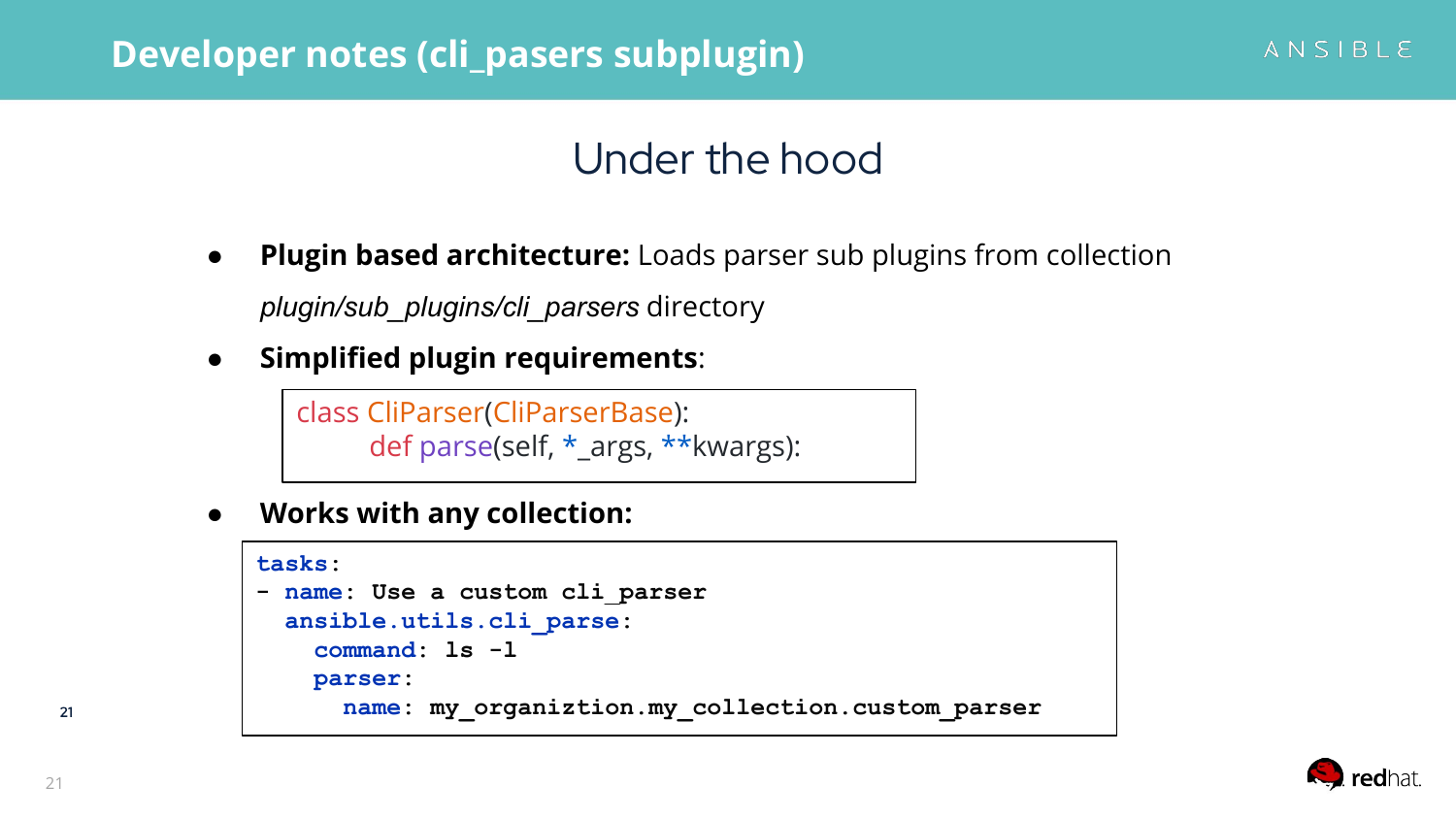#### **Developer notes (cli\_pasers subplugin)**

### Under the hood

- **Plugin based architecture:** Loads parser sub plugins from collection *plugin/sub\_plugins/cli\_parsers* directory
- **Simplified plugin requirements**:

class CliParser(CliParserBase): def parse(self, \*\_args, \*\*kwargs):

**● Works with any collection:**

```
tasks:
- name: Use a custom cli_parser
  ansible.utils.cli_parse:
     command: ls -l
    parser:
       name: my_organiztion.my_collection.custom_parser
```
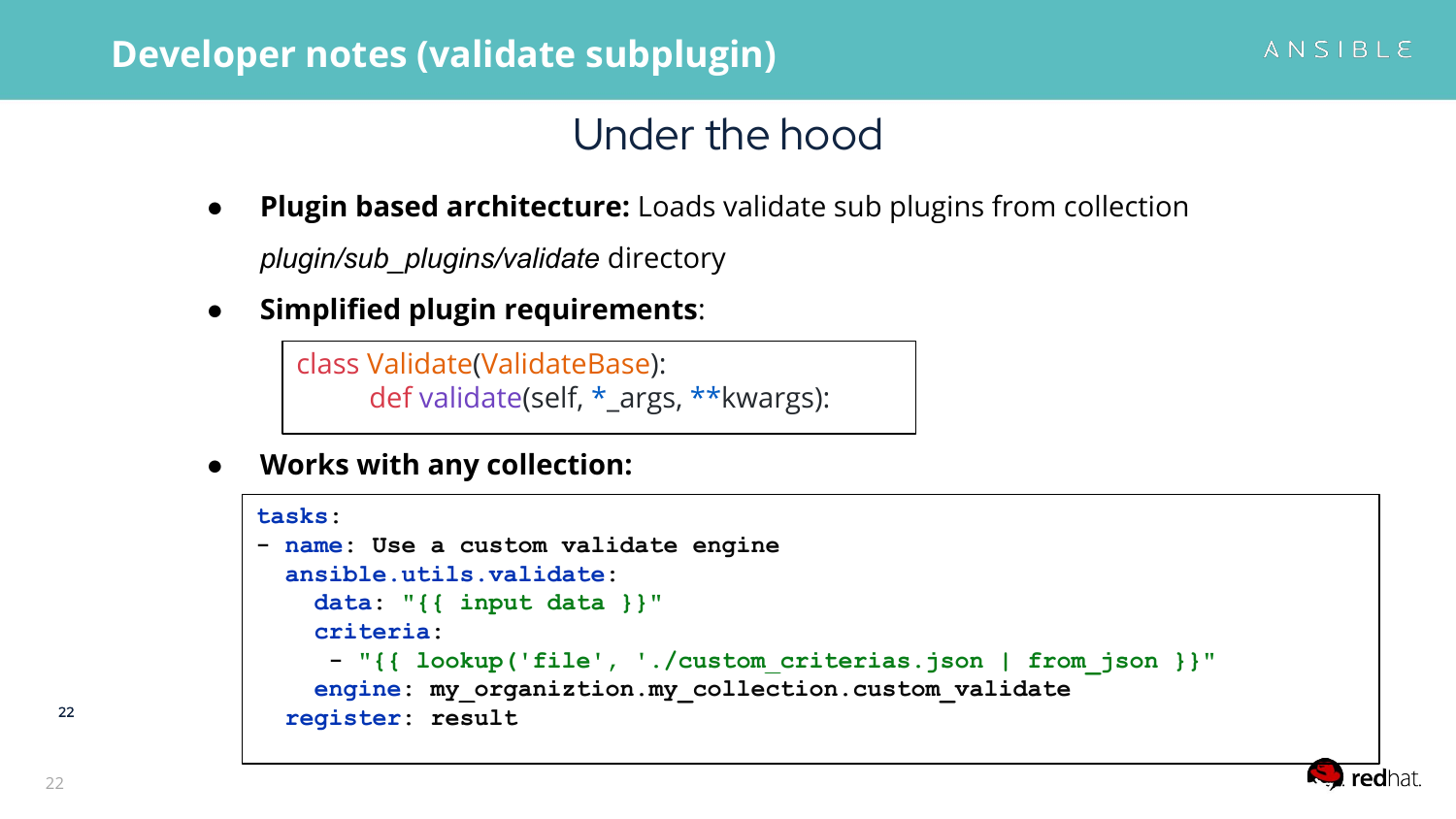#### **Developer notes (validate subplugin)**

# Under the hood

**Plugin based architecture:** Loads validate sub plugins from collection

*plugin/sub\_plugins/validate* directory

● **Simplified plugin requirements**:

```
class Validate(ValidateBase):
     def validate(self, * args, **kwargs):
```
**● Works with any collection:**

```
tasks:
- name: Use a custom validate engine
   ansible.utils.validate:
     data: "{{ input data }}"
     criteria:
      - "{{ lookup('file', './custom_criterias.json | from_json }}"
     engine: my_organiztion.my_collection.custom_validate
   register: result
```